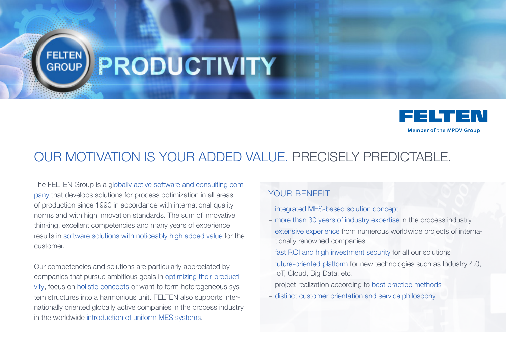## **FELTEN** PRODUCTIVITY



## OUR MOTIVATION IS YOUR ADDED VALUE. PRECISELY PREDICTABLE.

The FELTEN Group is a globally active software and consulting company that develops solutions for process optimization in all areas of production since 1990 in accordance with international quality norms and with high innovation standards. The sum of innovative thinking, excellent competencies and many years of experience results in software solutions with noticeably high added value for the customer.

Our competencies and solutions are particularly appreciated by companies that pursue ambitious goals in optimizing their productivity, focus on holistic concepts or want to form heterogeneous system structures into a harmonious unit. FELTEN also supports internationally oriented globally active companies in the process industry in the worldwide introduction of uniform MES systems.

## YOUR BENEFIT

- + integrated MES-based solution concept
- + more than 30 years of industry expertise in the process industry
- + extensive experience from numerous worldwide projects of internationally renowned companies
- + fast ROI and high investment security for all our solutions
- + future-oriented platform for new technologies such as Industry 4.0, IoT, Cloud, Big Data, etc.
- + project realization according to best practice methods
- + distinct customer orientation and service philosophy